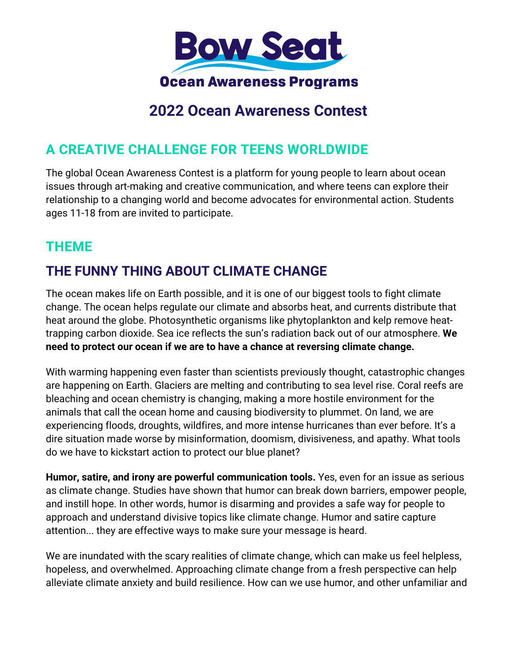

# **2022 Ocean Awareness Contest**

# **A CREATIVE CHALLENGE FOR TEENS WORLDWIDE**

The global Ocean Awareness Contest is a platform for young people to learn about ocean issues through art-making and creative communication, and where teens can explore their relationship to a changing world and become advocates for environmental action. Students ages 11-18 from are invited to participate.

## **THEME**

# **THE FUNNY THING ABOUT CLIMATE CHANGE**

The ocean makes life on Earth possible, and it is one of our biggest tools to fight climate change. The ocean helps regulate our climate and absorbs heat, and currents distribute that heat around the globe. Photosynthetic organisms like phytoplankton and kelp remove heattrapping carbon dioxide. Sea ice reflects the sun's radiation back out of our atmosphere. **We need to protect our ocean if we are to have a chance at reversing climate change.**

With warming happening even faster than scientists previously thought, catastrophic changes are happening on Earth. Glaciers are melting and contributing to sea level rise. Coral reefs are bleaching and ocean chemistry is changing, making a more hostile environment for the animals that call the ocean home and causing biodiversity to plummet. On land, we are experiencing floods, droughts, wildfires, and more intense hurricanes than ever before. It's a dire situation made worse by misinformation, doomism, divisiveness, and apathy. What tools do we have to kickstart action to protect our blue planet?

**Humor, satire, and irony are powerful communication tools.** Yes, even for an issue as serious as climate change. Studies have shown that humor can break down barriers, empower people, and instill hope. In other words, humor is disarming and provides a safe way for people to approach and understand divisive topics like climate change. Humor and satire capture attention... they are effective ways to make sure your message is heard.

We are inundated with the scary realities of climate change, which can make us feel helpless, hopeless, and overwhelmed. Approaching climate change from a fresh perspective can help alleviate climate anxiety and build resilience. How can we use humor, and other unfamiliar and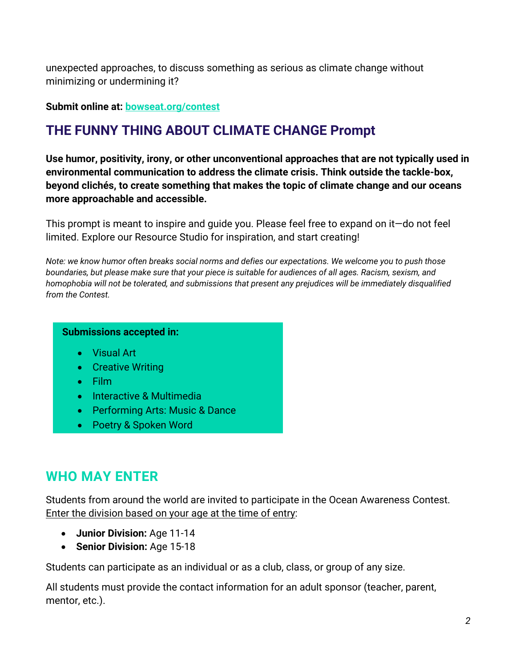unexpected approaches, to discuss something as serious as climate change without minimizing or undermining it?

#### **Submit online at: bowseat.org/contest**

## **THE FUNNY THING ABOUT CLIMATE CHANGE Prompt**

**Use humor, positivity, irony, or other unconventional approaches that are not typically used in environmental communication to address the climate crisis. Think outside the tackle-box, beyond clichés, to create something that makes the topic of climate change and our oceans more approachable and accessible.**

This prompt is meant to inspire and guide you. Please feel free to expand on it—do not feel limited. Explore our Resource Studio for inspiration, and start creating!

*Note: we know humor often breaks social norms and defies our expectations. We welcome you to push those boundaries, but please make sure that your piece is suitable for audiences of all ages. Racism, sexism, and homophobia will not be tolerated, and submissions that present any prejudices will be immediately disqualified from the Contest.*

#### **Submissions accepted in:**

- Visual Art
- Creative Writing
- Film
- Interactive & Multimedia
- Performing Arts: Music & Dance
- Poetry & Spoken Word

## **WHO MAY ENTER**

Students from around the world are invited to participate in the Ocean Awareness Contest. Enter the division based on your age at the time of entry:

- **Junior Division:** Age 11-14
- **Senior Division:** Age 15-18

Students can participate as an individual or as a club, class, or group of any size.

All students must provide the contact information for an adult sponsor (teacher, parent, mentor, etc.).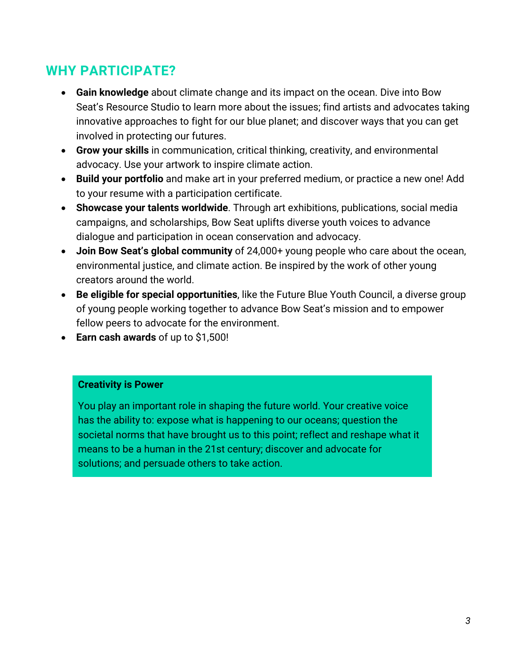# **WHY PARTICIPATE?**

- **Gain knowledge** about climate change and its impact on the ocean. Dive into Bow Seat's Resource Studio to learn more about the issues; find artists and advocates taking innovative approaches to fight for our blue planet; and discover ways that you can get involved in protecting our futures.
- **Grow your skills** in communication, critical thinking, creativity, and environmental advocacy. Use your artwork to inspire climate action.
- **Build your portfolio** and make art in your preferred medium, or practice a new one! Add to your resume with a participation certificate.
- **Showcase your talents worldwide**. Through art exhibitions, publications, social media campaigns, and scholarships, Bow Seat uplifts diverse youth voices to advance dialogue and participation in ocean conservation and advocacy.
- **Join Bow Seat's global community** of 24,000+ young people who care about the ocean, environmental justice, and climate action. Be inspired by the work of other young creators around the world.
- **Be eligible for special opportunities**, like the Future Blue Youth Council, a diverse group of young people working together to advance Bow Seat's mission and to empower fellow peers to advocate for the environment.
- **Earn cash awards** of up to \$1,500!

#### **Creativity is Power**

You play an important role in shaping the future world. Your creative voice has the ability to: expose what is happening to our oceans; question the societal norms that have brought us to this point; reflect and reshape what it means to be a human in the 21st century; discover and advocate for solutions; and persuade others to take action.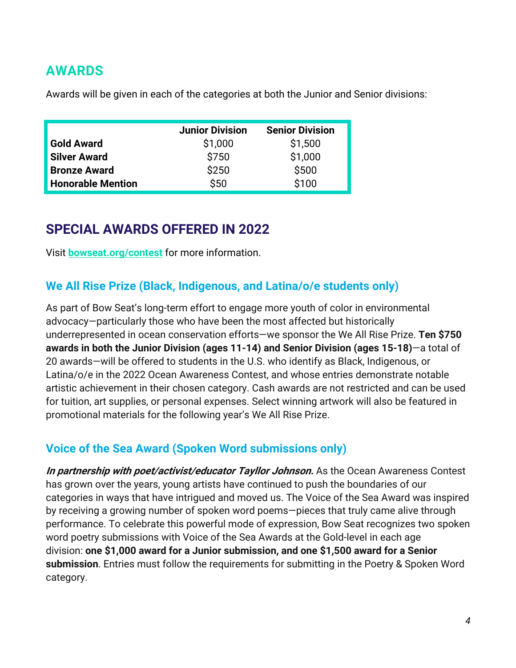## **AWARDS**

Awards will be given in each of the categories at both the Junior and Senior divisions:

|                          | <b>Junior Division</b> | <b>Senior Division</b> |
|--------------------------|------------------------|------------------------|
| <b>Gold Award</b>        | \$1,000                | \$1,500                |
| <b>Silver Award</b>      | \$750                  | \$1,000                |
| <b>Bronze Award</b>      | \$250                  | \$500                  |
| <b>Honorable Mention</b> | \$50                   | \$100                  |

## **SPECIAL AWARDS OFFERED IN 2022**

Visit **bowseat.org/contest** for more information.

### **We All Rise Prize (Black, Indigenous, and Latina/o/e students only)**

As part of Bow Seat's long-term effort to engage more youth of color in environmental advocacy—particularly those who have been the most affected but historically underrepresented in ocean conservation efforts—we sponsor the We All Rise Prize. **Ten \$750 awards in both the Junior Division (ages 11-14) and Senior Division (ages 15-18)**—a total of 20 awards—will be offered to students in the U.S. who identify as Black, Indigenous, or Latina/o/e in the 2022 Ocean Awareness Contest, and whose entries demonstrate notable artistic achievement in their chosen category. Cash awards are not restricted and can be used for tuition, art supplies, or personal expenses. Select winning artwork will also be featured in promotional materials for the following year's We All Rise Prize.

### **Voice of the Sea Award (Spoken Word submissions only)**

**In partnership with poet/activist/educator Tayllor Johnson.** As the Ocean Awareness Contest has grown over the years, young artists have continued to push the boundaries of our categories in ways that have intrigued and moved us. The Voice of the Sea Award was inspired by receiving a growing number of spoken word poems—pieces that truly came alive through performance. To celebrate this powerful mode of expression, Bow Seat recognizes two spoken word poetry submissions with Voice of the Sea Awards at the Gold-level in each age division: **one \$1,000 award for a Junior submission, and one \$1,500 award for a Senior submission**. Entries must follow the requirements for submitting in the Poetry & Spoken Word category.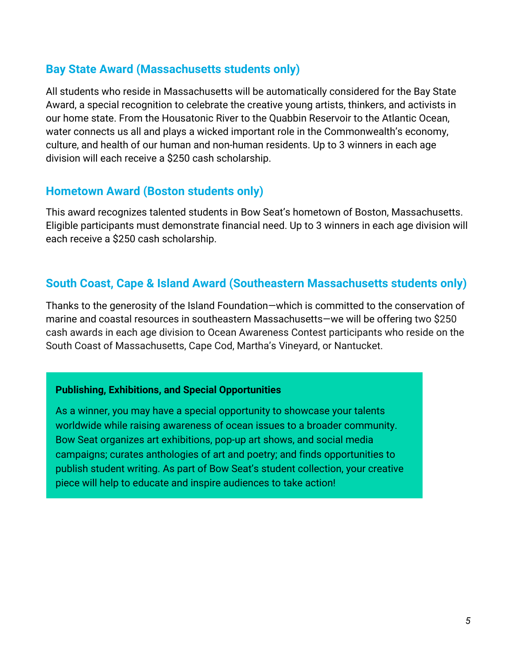### **Bay State Award (Massachusetts students only)**

All students who reside in Massachusetts will be automatically considered for the Bay State Award, a special recognition to celebrate the creative young artists, thinkers, and activists in our home state. From the Housatonic River to the Quabbin Reservoir to the Atlantic Ocean, water connects us all and plays a wicked important role in the Commonwealth's economy, culture, and health of our human and non-human residents. Up to 3 winners in each age division will each receive a \$250 cash scholarship.

### **Hometown Award (Boston students only)**

This award recognizes talented students in Bow Seat's hometown of Boston, Massachusetts. Eligible participants must demonstrate financial need. Up to 3 winners in each age division will each receive a \$250 cash scholarship.

### **South Coast, Cape & Island Award (Southeastern Massachusetts students only)**

Thanks to the generosity of the Island Foundation—which is committed to the conservation of marine and coastal resources in southeastern Massachusetts—we will be offering two \$250 cash awards in each age division to Ocean Awareness Contest participants who reside on the South Coast of Massachusetts, Cape Cod, Martha's Vineyard, or Nantucket.

#### **Publishing, Exhibitions, and Special Opportunities**

As a winner, you may have a special opportunity to showcase your talents worldwide while raising awareness of ocean issues to a broader community. Bow Seat organizes art exhibitions, pop-up art shows, and social media campaigns; curates anthologies of art and poetry; and finds opportunities to publish student writing. As part of Bow Seat's student collection, your creative piece will help to educate and inspire audiences to take action!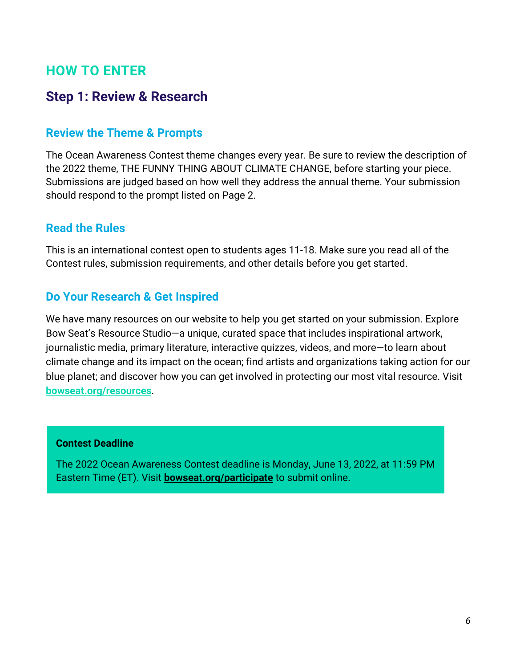## **HOW TO ENTER**

## **Step 1: Review & Research**

### **Review the Theme & Prompts**

The Ocean Awareness Contest theme changes every year. Be sure to review the description of the 2022 theme, THE FUNNY THING ABOUT CLIMATE CHANGE, before starting your piece. Submissions are judged based on how well they address the annual theme. Your submission should respond to the prompt listed on Page 2.

### **Read the Rules**

This is an international contest open to students ages 11-18. Make sure you read all of the Contest rules, submission requirements, and other details before you get started.

### **Do Your Research & Get Inspired**

We have many resources on our website to help you get started on your submission. Explore Bow Seat's Resource Studio—a unique, curated space that includes inspirational artwork, journalistic media, primary literature, interactive quizzes, videos, and more—to learn about climate change and its impact on the ocean; find artists and organizations taking action for our blue planet; and discover how you can get involved in protecting our most vital resource. Visit **bowseat.org/resources**.

#### **Contest Deadline**

The 2022 Ocean Awareness Contest deadline is Monday, June 13, 2022, at 11:59 PM Eastern Time (ET). Visit **bowseat.org/participate** to submit online.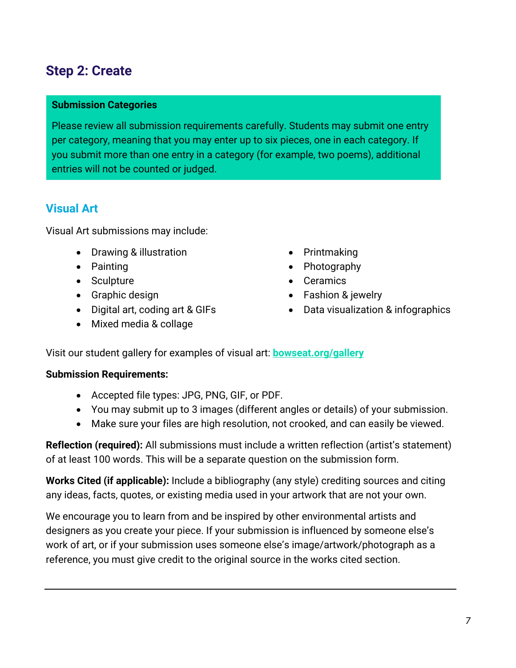# **Step 2: Create**

#### **Submission Categories**

Please review all submission requirements carefully. Students may submit one entry per category, meaning that you may enter up to six pieces, one in each category. If you submit more than one entry in a category (for example, two poems), additional entries will not be counted or judged.

### **Visual Art**

Visual Art submissions may include:

- Drawing & illustration
- Painting
- Sculpture
- Graphic design
- Digital art, coding art & GIFs
- Mixed media & collage
- Printmaking
- Photography
- Ceramics
- Fashion & jewelry
- Data visualization & infographics

Visit our student gallery for examples of visual art: **bowseat.org/gallery**

#### **Submission Requirements:**

- Accepted file types: JPG, PNG, GIF, or PDF.
- You may submit up to 3 images (different angles or details) of your submission.
- Make sure your files are high resolution, not crooked, and can easily be viewed.

**Reflection (required):** All submissions must include a written reflection (artist's statement) of at least 100 words. This will be a separate question on the submission form.

**Works Cited (if applicable):** Include a bibliography (any style) crediting sources and citing any ideas, facts, quotes, or existing media used in your artwork that are not your own.

We encourage you to learn from and be inspired by other environmental artists and designers as you create your piece. If your submission is influenced by someone else's work of art, or if your submission uses someone else's image/artwork/photograph as a reference, you must give credit to the original source in the works cited section.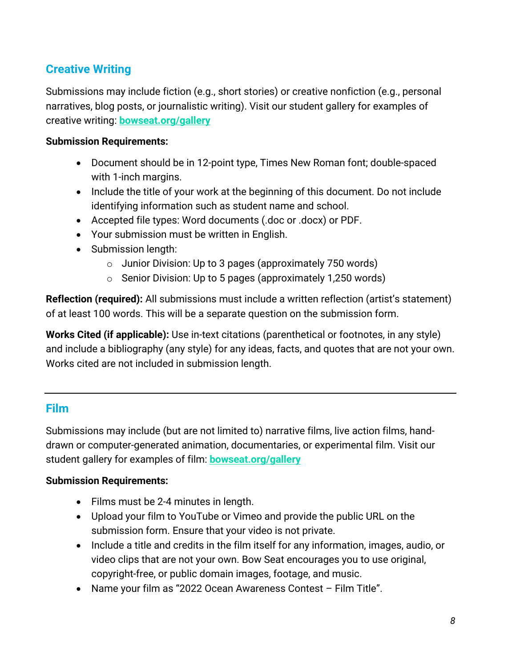## **Creative Writing**

Submissions may include fiction (e.g., short stories) or creative nonfiction (e.g., personal narratives, blog posts, or journalistic writing). Visit our student gallery for examples of creative writing: **bowseat.org/gallery**

### **Submission Requirements:**

- Document should be in 12-point type, Times New Roman font; double-spaced with 1-inch margins.
- Include the title of your work at the beginning of this document. Do not include identifying information such as student name and school.
- Accepted file types: Word documents (.doc or .docx) or PDF.
- Your submission must be written in English.
- Submission length:
	- o Junior Division: Up to 3 pages (approximately 750 words)
	- o Senior Division: Up to 5 pages (approximately 1,250 words)

**Reflection (required):** All submissions must include a written reflection (artist's statement) of at least 100 words. This will be a separate question on the submission form.

**Works Cited (if applicable):** Use in-text citations (parenthetical or footnotes, in any style) and include a bibliography (any style) for any ideas, facts, and quotes that are not your own. Works cited are not included in submission length.

### **Film**

Submissions may include (but are not limited to) narrative films, live action films, handdrawn or computer-generated animation, documentaries, or experimental film. Visit our student gallery for examples of film: **bowseat.org/gallery**

#### **Submission Requirements:**

- Films must be 2-4 minutes in length.
- Upload your film to YouTube or Vimeo and provide the public URL on the submission form. Ensure that your video is not private.
- Include a title and credits in the film itself for any information, images, audio, or video clips that are not your own. Bow Seat encourages you to use original, copyright-free, or public domain images, footage, and music.
- Name your film as "2022 Ocean Awareness Contest Film Title".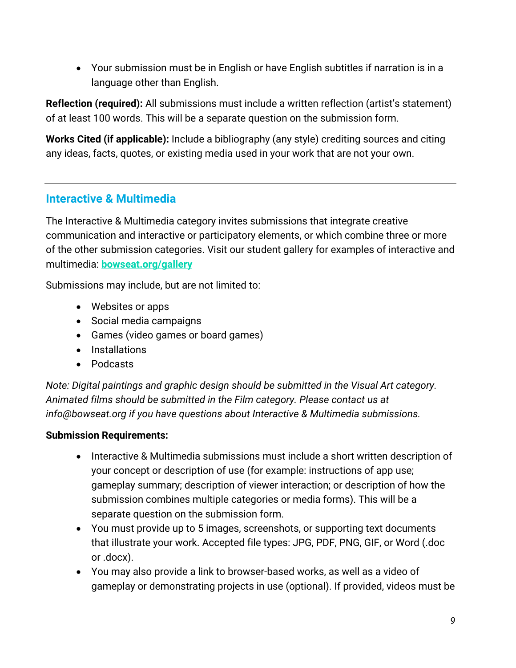• Your submission must be in English or have English subtitles if narration is in a language other than English.

**Reflection (required):** All submissions must include a written reflection (artist's statement) of at least 100 words. This will be a separate question on the submission form.

**Works Cited (if applicable):** Include a bibliography (any style) crediting sources and citing any ideas, facts, quotes, or existing media used in your work that are not your own.

## **Interactive & Multimedia**

The Interactive & Multimedia category invites submissions that integrate creative communication and interactive or participatory elements, or which combine three or more of the other submission categories. Visit our student gallery for examples of interactive and multimedia: **bowseat.org/gallery**

Submissions may include, but are not limited to:

- Websites or apps
- Social media campaigns
- Games (video games or board games)
- Installations
- Podcasts

*Note: Digital paintings and graphic design should be submitted in the Visual Art category. Animated films should be submitted in the Film category. Please contact us at info@bowseat.org if you have questions about Interactive & Multimedia submissions.*

#### **Submission Requirements:**

- Interactive & Multimedia submissions must include a short written description of your concept or description of use (for example: instructions of app use; gameplay summary; description of viewer interaction; or description of how the submission combines multiple categories or media forms). This will be a separate question on the submission form.
- You must provide up to 5 images, screenshots, or supporting text documents that illustrate your work. Accepted file types: JPG, PDF, PNG, GIF, or Word (.doc or .docx).
- You may also provide a link to browser-based works, as well as a video of gameplay or demonstrating projects in use (optional). If provided, videos must be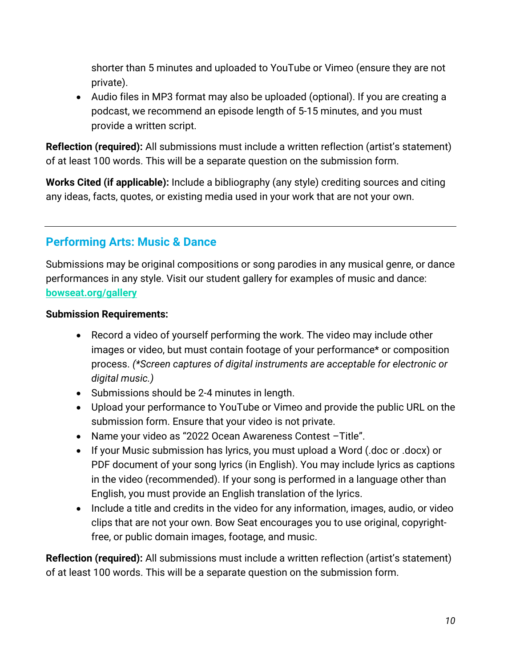shorter than 5 minutes and uploaded to YouTube or Vimeo (ensure they are not private).

• Audio files in MP3 format may also be uploaded (optional). If you are creating a podcast, we recommend an episode length of 5-15 minutes, and you must provide a written script.

**Reflection (required):** All submissions must include a written reflection (artist's statement) of at least 100 words. This will be a separate question on the submission form.

**Works Cited (if applicable):** Include a bibliography (any style) crediting sources and citing any ideas, facts, quotes, or existing media used in your work that are not your own.

## **Performing Arts: Music & Dance**

Submissions may be original compositions or song parodies in any musical genre, or dance performances in any style. Visit our student gallery for examples of music and dance: **bowseat.org/gallery**

#### **Submission Requirements:**

- Record a video of yourself performing the work. The video may include other images or video, but must contain footage of your performance\* or composition process. *(\*Screen captures of digital instruments are acceptable for electronic or digital music.)*
- Submissions should be 2-4 minutes in length.
- Upload your performance to YouTube or Vimeo and provide the public URL on the submission form. Ensure that your video is not private.
- Name your video as "2022 Ocean Awareness Contest –Title".
- If your Music submission has lyrics, you must upload a Word (.doc or .docx) or PDF document of your song lyrics (in English). You may include lyrics as captions in the video (recommended). If your song is performed in a language other than English, you must provide an English translation of the lyrics.
- Include a title and credits in the video for any information, images, audio, or video clips that are not your own. Bow Seat encourages you to use original, copyrightfree, or public domain images, footage, and music.

**Reflection (required):** All submissions must include a written reflection (artist's statement) of at least 100 words. This will be a separate question on the submission form.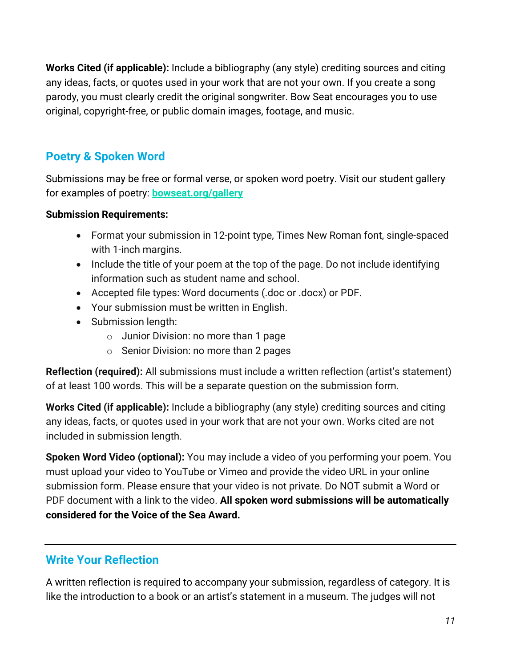**Works Cited (if applicable):** Include a bibliography (any style) crediting sources and citing any ideas, facts, or quotes used in your work that are not your own. If you create a song parody, you must clearly credit the original songwriter. Bow Seat encourages you to use original, copyright-free, or public domain images, footage, and music.

## **Poetry & Spoken Word**

Submissions may be free or formal verse, or spoken word poetry. Visit our student gallery for examples of poetry: **bowseat.org/gallery**

### **Submission Requirements:**

- Format your submission in 12-point type, Times New Roman font, single-spaced with 1-inch margins.
- Include the title of your poem at the top of the page. Do not include identifying information such as student name and school.
- Accepted file types: Word documents (.doc or .docx) or PDF.
- Your submission must be written in English.
- Submission length:
	- o Junior Division: no more than 1 page
	- o Senior Division: no more than 2 pages

**Reflection (required):** All submissions must include a written reflection (artist's statement) of at least 100 words. This will be a separate question on the submission form.

**Works Cited (if applicable):** Include a bibliography (any style) crediting sources and citing any ideas, facts, or quotes used in your work that are not your own. Works cited are not included in submission length.

**Spoken Word Video (optional):** You may include a video of you performing your poem. You must upload your video to YouTube or Vimeo and provide the video URL in your online submission form. Please ensure that your video is not private. Do NOT submit a Word or PDF document with a link to the video. **All spoken word submissions will be automatically considered for the Voice of the Sea Award.**

## **Write Your Reflection**

A written reflection is required to accompany your submission, regardless of category. It is like the introduction to a book or an artist's statement in a museum. The judges will not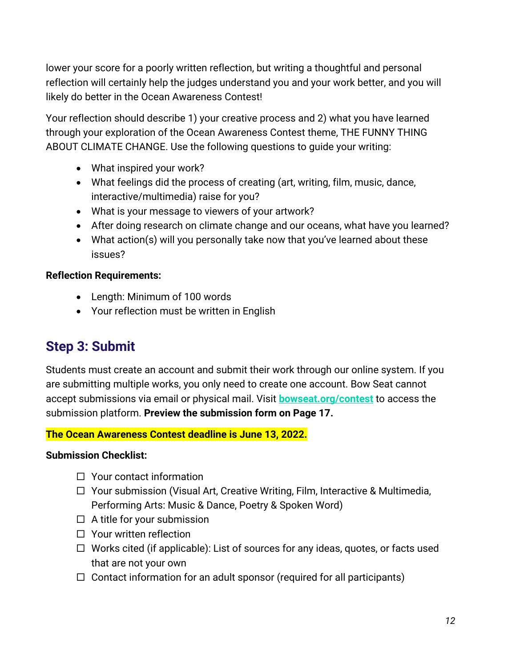lower your score for a poorly written reflection, but writing a thoughtful and personal reflection will certainly help the judges understand you and your work better, and you will likely do better in the Ocean Awareness Contest!

Your reflection should describe 1) your creative process and 2) what you have learned through your exploration of the Ocean Awareness Contest theme, THE FUNNY THING ABOUT CLIMATE CHANGE. Use the following questions to guide your writing:

- What inspired your work?
- What feelings did the process of creating (art, writing, film, music, dance, interactive/multimedia) raise for you?
- What is your message to viewers of your artwork?
- After doing research on climate change and our oceans, what have you learned?
- What action(s) will you personally take now that you've learned about these issues?

### **Reflection Requirements:**

- Length: Minimum of 100 words
- Your reflection must be written in English

## **Step 3: Submit**

Students must create an account and submit their work through our online system. If you are submitting multiple works, you only need to create one account. Bow Seat cannot accept submissions via email or physical mail. Visit **bowseat.org/contest** to access the submission platform. **Preview the submission form on Page 17.**

**The Ocean Awareness Contest deadline is June 13, 2022.**

#### **Submission Checklist:**

- $\square$  Your contact information
- $\Box$  Your submission (Visual Art, Creative Writing, Film, Interactive & Multimedia, Performing Arts: Music & Dance, Poetry & Spoken Word)
- $\Box$  A title for your submission
- $\Box$  Your written reflection
- $\Box$  Works cited (if applicable): List of sources for any ideas, quotes, or facts used that are not your own
- $\Box$  Contact information for an adult sponsor (required for all participants)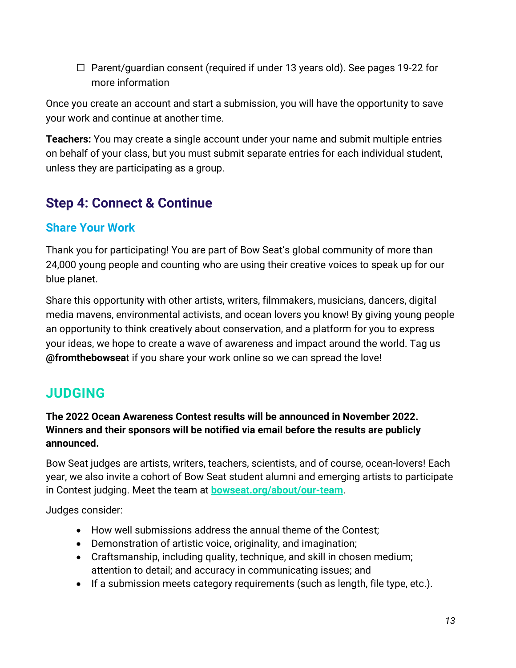$\Box$  Parent/guardian consent (required if under 13 years old). See pages 19-22 for more information

Once you create an account and start a submission, you will have the opportunity to save your work and continue at another time.

**Teachers:** You may create a single account under your name and submit multiple entries on behalf of your class, but you must submit separate entries for each individual student, unless they are participating as a group.

# **Step 4: Connect & Continue**

## **Share Your Work**

Thank you for participating! You are part of Bow Seat's global community of more than 24,000 young people and counting who are using their creative voices to speak up for our blue planet.

Share this opportunity with other artists, writers, filmmakers, musicians, dancers, digital media mavens, environmental activists, and ocean lovers you know! By giving young people an opportunity to think creatively about conservation, and a platform for you to express your ideas, we hope to create a wave of awareness and impact around the world. Tag us **@fromthebowsea**t if you share your work online so we can spread the love!

# **JUDGING**

### **The 2022 Ocean Awareness Contest results will be announced in November 2022. Winners and their sponsors will be notified via email before the results are publicly announced.**

Bow Seat judges are artists, writers, teachers, scientists, and of course, ocean-lovers! Each year, we also invite a cohort of Bow Seat student alumni and emerging artists to participate in Contest judging. Meet the team at **bowseat.org/about/our-team**.

Judges consider:

- How well submissions address the annual theme of the Contest;
- Demonstration of artistic voice, originality, and imagination;
- Craftsmanship, including quality, technique, and skill in chosen medium; attention to detail; and accuracy in communicating issues; and
- If a submission meets category requirements (such as length, file type, etc.).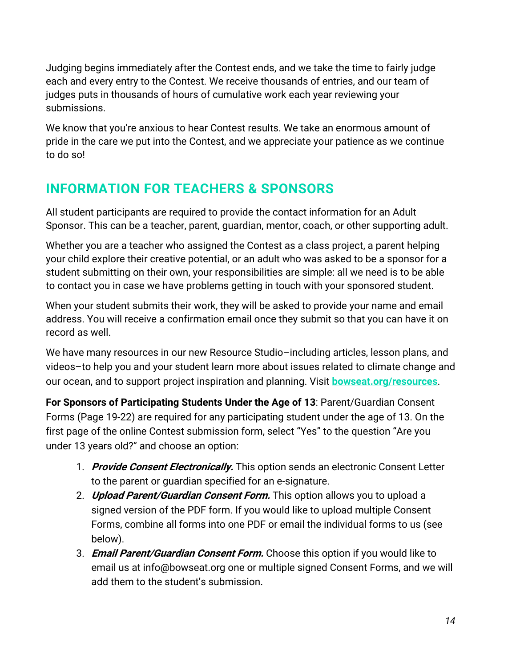Judging begins immediately after the Contest ends, and we take the time to fairly judge each and every entry to the Contest. We receive thousands of entries, and our team of judges puts in thousands of hours of cumulative work each year reviewing your submissions.

We know that you're anxious to hear Contest results. We take an enormous amount of pride in the care we put into the Contest, and we appreciate your patience as we continue to do so!

# **INFORMATION FOR TEACHERS & SPONSORS**

All student participants are required to provide the contact information for an Adult Sponsor. This can be a teacher, parent, guardian, mentor, coach, or other supporting adult.

Whether you are a teacher who assigned the Contest as a class project, a parent helping your child explore their creative potential, or an adult who was asked to be a sponsor for a student submitting on their own, your responsibilities are simple: all we need is to be able to contact you in case we have problems getting in touch with your sponsored student.

When your student submits their work, they will be asked to provide your name and email address. You will receive a confirmation email once they submit so that you can have it on record as well.

We have many resources in our new Resource Studio-including articles, lesson plans, and videos–to help you and your student learn more about issues related to climate change and our ocean, and to support project inspiration and planning. Visit **bowseat.org/resources**.

**For Sponsors of Participating Students Under the Age of 13**: Parent/Guardian Consent Forms (Page 19-22) are required for any participating student under the age of 13. On the first page of the online Contest submission form, select "Yes" to the question "Are you under 13 years old?" and choose an option:

- 1. **Provide Consent Electronically.** This option sends an electronic Consent Letter to the parent or guardian specified for an e-signature.
- 2. **Upload Parent/Guardian Consent Form.** This option allows you to upload a signed version of the PDF form. If you would like to upload multiple Consent Forms, combine all forms into one PDF or email the individual forms to us (see below).
- 3. **Email Parent/Guardian Consent Form.** Choose this option if you would like to email us at info@bowseat.org one or multiple signed Consent Forms, and we will add them to the student's submission.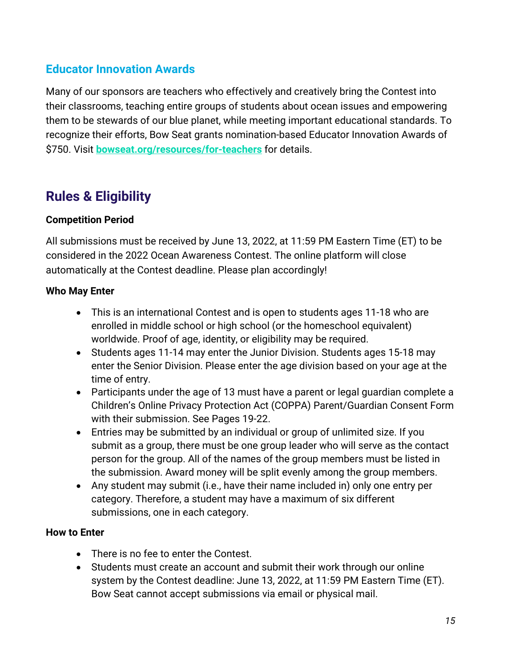## **Educator Innovation Awards**

Many of our sponsors are teachers who effectively and creatively bring the Contest into their classrooms, teaching entire groups of students about ocean issues and empowering them to be stewards of our blue planet, while meeting important educational standards. To recognize their efforts, Bow Seat grants nomination-based Educator Innovation Awards of \$750. Visit **bowseat.org/resources/for-teachers** for details.

# **Rules & Eligibility**

### **Competition Period**

All submissions must be received by June 13, 2022, at 11:59 PM Eastern Time (ET) to be considered in the 2022 Ocean Awareness Contest. The online platform will close automatically at the Contest deadline. Please plan accordingly!

### **Who May Enter**

- This is an international Contest and is open to students ages 11-18 who are enrolled in middle school or high school (or the homeschool equivalent) worldwide. Proof of age, identity, or eligibility may be required.
- Students ages 11-14 may enter the Junior Division. Students ages 15-18 may enter the Senior Division. Please enter the age division based on your age at the time of entry.
- Participants under the age of 13 must have a parent or legal guardian complete a Children's Online Privacy Protection Act (COPPA) Parent/Guardian Consent Form with their submission. See Pages 19-22.
- Entries may be submitted by an individual or group of unlimited size. If you submit as a group, there must be one group leader who will serve as the contact person for the group. All of the names of the group members must be listed in the submission. Award money will be split evenly among the group members.
- Any student may submit (i.e., have their name included in) only one entry per category. Therefore, a student may have a maximum of six different submissions, one in each category.

#### **How to Enter**

- There is no fee to enter the Contest.
- Students must create an account and submit their work through our online system by the Contest deadline: June 13, 2022, at 11:59 PM Eastern Time (ET). Bow Seat cannot accept submissions via email or physical mail.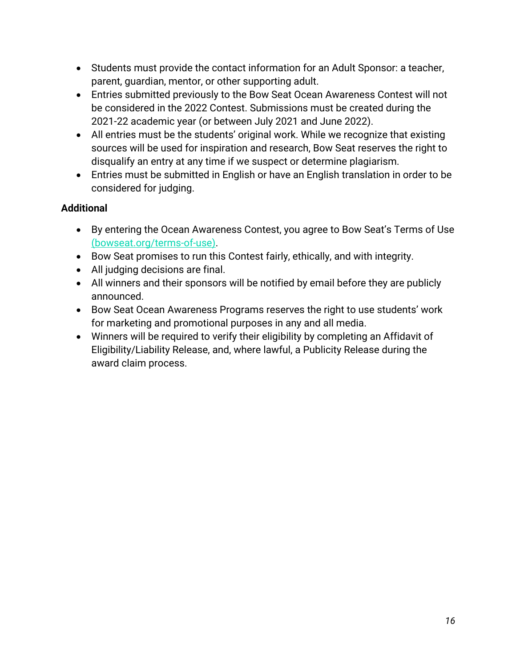- Students must provide the contact information for an Adult Sponsor: a teacher, parent, guardian, mentor, or other supporting adult.
- Entries submitted previously to the Bow Seat Ocean Awareness Contest will not be considered in the 2022 Contest. Submissions must be created during the 2021-22 academic year (or between July 2021 and June 2022).
- All entries must be the students' original work. While we recognize that existing sources will be used for inspiration and research, Bow Seat reserves the right to disqualify an entry at any time if we suspect or determine plagiarism.
- Entries must be submitted in English or have an English translation in order to be considered for judging.

### **Additional**

- By entering the Ocean Awareness Contest, you agree to Bow Seat's Terms of Use (bowseat.org/terms-of-use).
- Bow Seat promises to run this Contest fairly, ethically, and with integrity.
- All judging decisions are final.
- All winners and their sponsors will be notified by email before they are publicly announced.
- Bow Seat Ocean Awareness Programs reserves the right to use students' work for marketing and promotional purposes in any and all media.
- Winners will be required to verify their eligibility by completing an Affidavit of Eligibility/Liability Release, and, where lawful, a Publicity Release during the award claim process.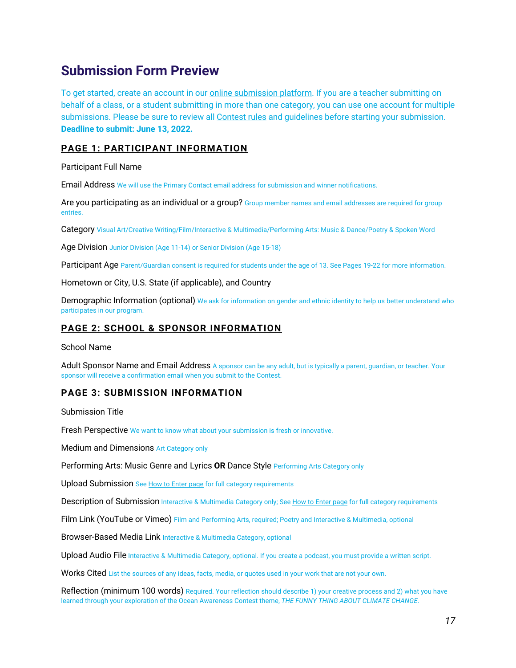## **Submission Form Preview**

To get started, create an account in our online submission platform. If you are a teacher submitting on behalf of a class, or a student submitting in more than one category, you can use one account for multiple submissions. Please be sure to review all Contest rules and guidelines before starting your submission. **Deadline to submit: June 13, 2022.**

#### **PAGE 1: PARTICIPANT INFORMATION**

Participant Full Name

Email Address We will use the Primary Contact email address for submission and winner notifications.

Are you participating as an individual or a group? Group member names and email addresses are required for group entries.

Category Visual Art/Creative Writing/Film/Interactive & Multimedia/Performing Arts: Music & Dance/Poetry & Spoken Word

Age Division Junior Division (Age 11-14) or Senior Division (Age 15-18)

Participant Age Parent/Guardian consent is required for students under the age of 13. See Pages 19-22 for more information.

Hometown or City, U.S. State (if applicable), and Country

Demographic Information (optional) We ask for information on gender and ethnic identity to help us better understand who participates in our program.

#### **PAGE 2: SCHOOL & SPONSOR INFORMATION**

School Name

Adult Sponsor Name and Email Address A sponsor can be any adult, but is typically a parent, quardian, or teacher. Your sponsor will receive a confirmation email when you submit to the Contest.

#### **PAGE 3: SUBMISSION INFORMATION**

Submission Title

Fresh Perspective We want to know what about your submission is fresh or innovative.

Medium and Dimensions Art Category only

Performing Arts: Music Genre and Lyrics **OR** Dance Style Performing Arts Category only

Upload Submission See How to Enter page for full category requirements

Description of Submission Interactive & Multimedia Category only; See How to Enter page for full category requirements

Film Link (YouTube or Vimeo) Film and Performing Arts, required; Poetry and Interactive & Multimedia, optional

Browser-Based Media Link Interactive & Multimedia Category, optional

Upload Audio File Interactive & Multimedia Category, optional. If you create a podcast, you must provide a written script.

Works Cited List the sources of any ideas, facts, media, or quotes used in your work that are not your own.

Reflection (minimum 100 words) Required. Your reflection should describe 1) your creative process and 2) what you have learned through your exploration of the Ocean Awareness Contest theme, *THE FUNNY THING ABOUT CLIMATE CHANGE*.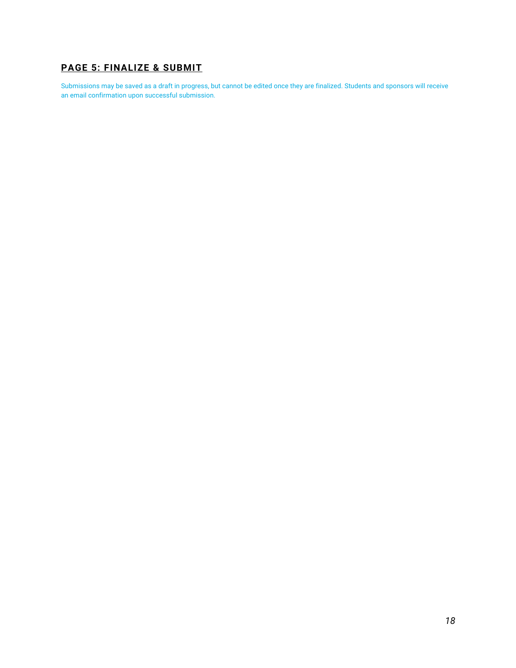### **PAGE 5: FINALIZE & SUBMIT**

Submissions may be saved as a draft in progress, but cannot be edited once they are finalized. Students and sponsors will receive an email confirmation upon successful submission.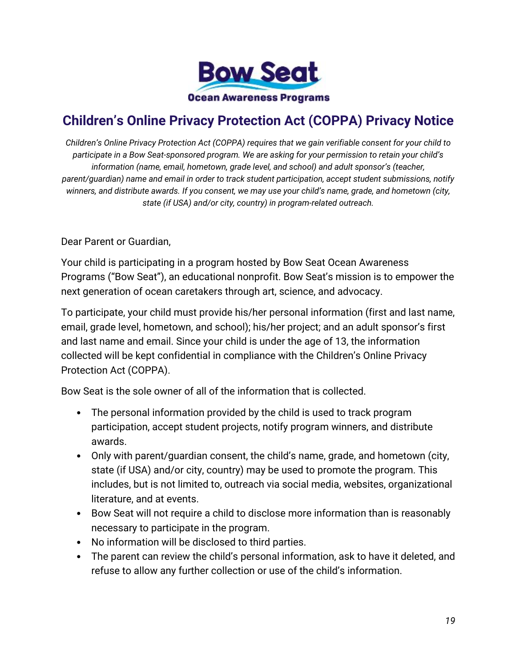

# **Children's Online Privacy Protection Act (COPPA) Privacy Notice**

*Children's Online Privacy Protection Act (COPPA) requires that we gain verifiable consent for your child to participate in a Bow Seat-sponsored program. We are asking for your permission to retain your child's information (name, email, hometown, grade level, and school) and adult sponsor's (teacher, parent/guardian) name and email in order to track student participation, accept student submissions, notify winners, and distribute awards. If you consent, we may use your child's name, grade, and hometown (city, state (if USA) and/or city, country) in program-related outreach.*

Dear Parent or Guardian,

Your child is participating in a program hosted by Bow Seat Ocean Awareness Programs ("Bow Seat"), an educational nonprofit. Bow Seat's mission is to empower the next generation of ocean caretakers through art, science, and advocacy.

To participate, your child must provide his/her personal information (first and last name, email, grade level, hometown, and school); his/her project; and an adult sponsor's first and last name and email. Since your child is under the age of 13, the information collected will be kept confidential in compliance with the Children's Online Privacy Protection Act (COPPA).

Bow Seat is the sole owner of all of the information that is collected.

- The personal information provided by the child is used to track program participation, accept student projects, notify program winners, and distribute awards.
- Only with parent/guardian consent, the child's name, grade, and hometown (city, state (if USA) and/or city, country) may be used to promote the program. This includes, but is not limited to, outreach via social media, websites, organizational literature, and at events.
- Bow Seat will not require a child to disclose more information than is reasonably necessary to participate in the program.
- No information will be disclosed to third parties.
- The parent can review the child's personal information, ask to have it deleted, and refuse to allow any further collection or use of the child's information.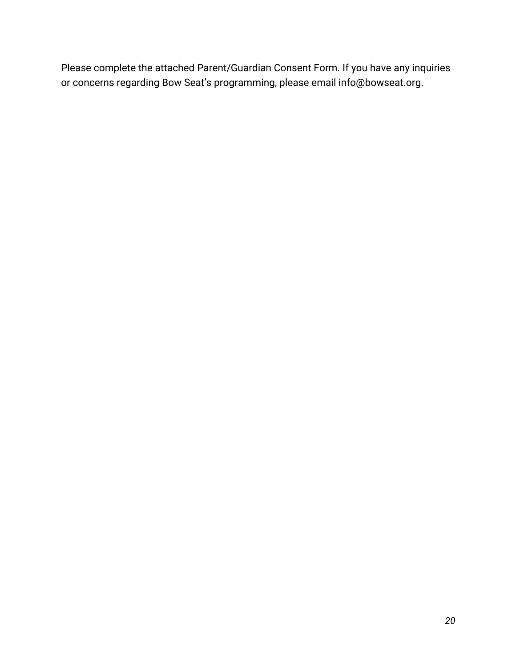Please complete the attached Parent/Guardian Consent Form. If you have any inquiries or concerns regarding Bow Seat's programming, please email info@bowseat.org.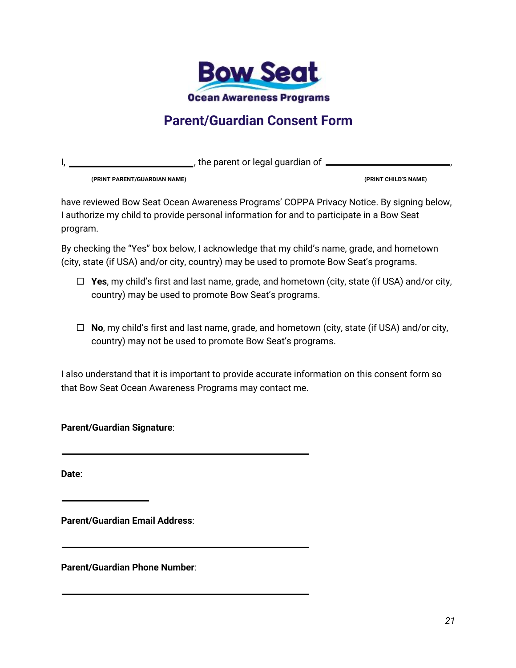

## **Parent/Guardian Consent Form**

I, 1. All the parent or legal guardian of  $\frac{1}{2}$  , the parent or legal guardian of  $\frac{1}{2}$ 

**(PRINT PARENT/GUARDIAN NAME) (PRINT CHILD'S NAME)**

have reviewed Bow Seat Ocean Awareness Programs' COPPA Privacy Notice. By signing below, I authorize my child to provide personal information for and to participate in a Bow Seat program.

By checking the "Yes" box below, I acknowledge that my child's name, grade, and hometown (city, state (if USA) and/or city, country) may be used to promote Bow Seat's programs.

- □ Yes, my child's first and last name, grade, and hometown (city, state (if USA) and/or city, country) may be used to promote Bow Seat's programs.
- □ **No**, my child's first and last name, grade, and hometown (city, state (if USA) and/or city, country) may not be used to promote Bow Seat's programs.

I also understand that it is important to provide accurate information on this consent form so that Bow Seat Ocean Awareness Programs may contact me.

**Parent/Guardian Signature**:

**Date**:

**Parent/Guardian Email Address**:

**Parent/Guardian Phone Number**: